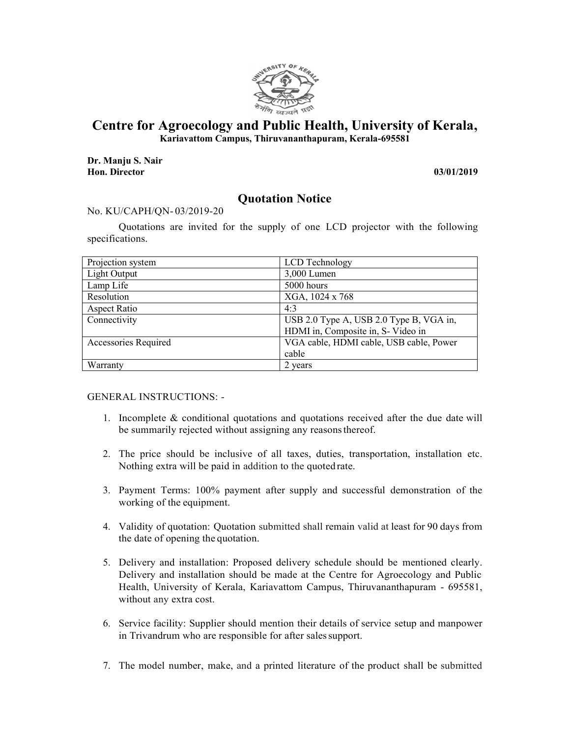

## **Centre for Agroecology and Public Health, University of Kerala,**

**Kariavattom Campus, Thiruvananthapuram, Kerala-695581** 

**Dr. Manju S. Nair Hon. Director 03/01/2019**

## **Quotation Notice**

## No. KU/CAPH/QN- 03/2019-20

Quotations are invited for the supply of one LCD projector with the following specifications.

| Projection system    | LCD Technology                          |
|----------------------|-----------------------------------------|
| Light Output         | 3,000 Lumen                             |
| Lamp Life            | 5000 hours                              |
| Resolution           | XGA, 1024 x 768                         |
| Aspect Ratio         | 4:3                                     |
| Connectivity         | USB 2.0 Type A, USB 2.0 Type B, VGA in, |
|                      | HDMI in, Composite in, S- Video in      |
| Accessories Required | VGA cable, HDMI cable, USB cable, Power |
|                      | cable                                   |
| Warranty             | 2 years                                 |

GENERAL INSTRUCTIONS: -

- 1. Incomplete & conditional quotations and quotations received after the due date will be summarily rejected without assigning any reasons thereof.
- 2. The price should be inclusive of all taxes, duties, transportation, installation etc. Nothing extra will be paid in addition to the quoted rate.
- 3. Payment Terms: 100% payment after supply and successful demonstration of the working of the equipment.
- 4. Validity of quotation: Quotation submitted shall remain valid at least for 90 days from the date of opening the quotation.
- 5. Delivery and installation: Proposed delivery schedule should be mentioned clearly. Delivery and installation should be made at the Centre for Agroecology and Public Health, University of Kerala, Kariavattom Campus, Thiruvananthapuram - 695581, without any extra cost.
- 6. Service facility: Supplier should mention their details of service setup and manpower in Trivandrum who are responsible for after sales support.
- 7. The model number, make, and a printed literature of the product shall be submitted